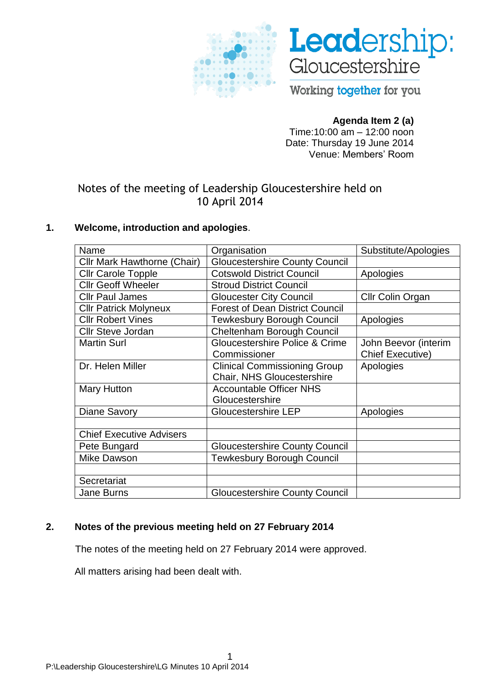



Working together for you

# **Agenda Item 2 (a)**

Time:10:00 am – 12:00 noon Date: Thursday 19 June 2014 Venue: Members' Room

# Notes of the meeting of Leadership Gloucestershire held on 10 April 2014

# **1. Welcome, introduction and apologies**.

| Name                               | Organisation                           | Substitute/Apologies    |
|------------------------------------|----------------------------------------|-------------------------|
| <b>Cllr Mark Hawthorne (Chair)</b> | <b>Gloucestershire County Council</b>  |                         |
| <b>Cllr Carole Topple</b>          | <b>Cotswold District Council</b>       | Apologies               |
| <b>Cllr Geoff Wheeler</b>          | <b>Stroud District Council</b>         |                         |
| <b>Cllr Paul James</b>             | <b>Gloucester City Council</b>         | Cllr Colin Organ        |
| <b>Cllr Patrick Molyneux</b>       | <b>Forest of Dean District Council</b> |                         |
| <b>Cllr Robert Vines</b>           | <b>Tewkesbury Borough Council</b>      | Apologies               |
| <b>Cllr Steve Jordan</b>           | Cheltenham Borough Council             |                         |
| <b>Martin Surl</b>                 | Gloucestershire Police & Crime         | John Beevor (interim    |
|                                    | Commissioner                           | <b>Chief Executive)</b> |
| Dr. Helen Miller                   | <b>Clinical Commissioning Group</b>    | Apologies               |
|                                    | <b>Chair, NHS Gloucestershire</b>      |                         |
| <b>Mary Hutton</b>                 | <b>Accountable Officer NHS</b>         |                         |
|                                    | Gloucestershire                        |                         |
| <b>Diane Savory</b>                | <b>Gloucestershire LEP</b>             | Apologies               |
|                                    |                                        |                         |
| <b>Chief Executive Advisers</b>    |                                        |                         |
| Pete Bungard                       | <b>Gloucestershire County Council</b>  |                         |
| <b>Mike Dawson</b>                 | <b>Tewkesbury Borough Council</b>      |                         |
|                                    |                                        |                         |
| Secretariat                        |                                        |                         |
| <b>Jane Burns</b>                  | <b>Gloucestershire County Council</b>  |                         |

# **2. Notes of the previous meeting held on 27 February 2014**

The notes of the meeting held on 27 February 2014 were approved.

All matters arising had been dealt with.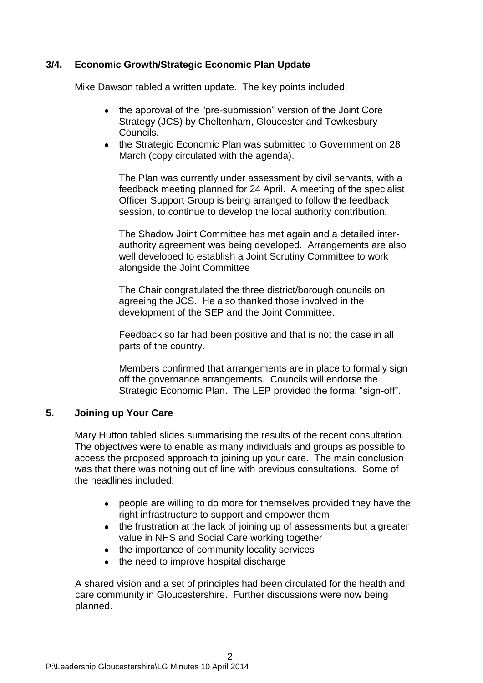## **3/4. Economic Growth/Strategic Economic Plan Update**

Mike Dawson tabled a written update. The key points included:

- the approval of the "pre-submission" version of the Joint Core Strategy (JCS) by Cheltenham, Gloucester and Tewkesbury Councils.
- the Strategic Economic Plan was submitted to Government on 28 March (copy circulated with the agenda).

The Plan was currently under assessment by civil servants, with a feedback meeting planned for 24 April. A meeting of the specialist Officer Support Group is being arranged to follow the feedback session, to continue to develop the local authority contribution.

The Shadow Joint Committee has met again and a detailed interauthority agreement was being developed. Arrangements are also well developed to establish a Joint Scrutiny Committee to work alongside the Joint Committee

The Chair congratulated the three district/borough councils on agreeing the JCS. He also thanked those involved in the development of the SEP and the Joint Committee.

Feedback so far had been positive and that is not the case in all parts of the country.

Members confirmed that arrangements are in place to formally sign off the governance arrangements. Councils will endorse the Strategic Economic Plan. The LEP provided the formal "sign-off".

## **5. Joining up Your Care**

Mary Hutton tabled slides summarising the results of the recent consultation. The objectives were to enable as many individuals and groups as possible to access the proposed approach to joining up your care. The main conclusion was that there was nothing out of line with previous consultations. Some of the headlines included:

- people are willing to do more for themselves provided they have the right infrastructure to support and empower them
- the frustration at the lack of joining up of assessments but a greater value in NHS and Social Care working together
- the importance of community locality services
- the need to improve hospital discharge

A shared vision and a set of principles had been circulated for the health and care community in Gloucestershire. Further discussions were now being planned.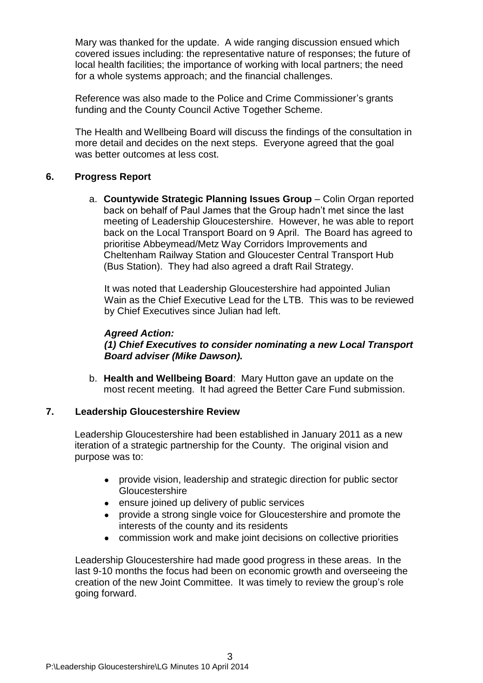Mary was thanked for the update. A wide ranging discussion ensued which covered issues including: the representative nature of responses; the future of local health facilities; the importance of working with local partners; the need for a whole systems approach; and the financial challenges.

Reference was also made to the Police and Crime Commissioner's grants funding and the County Council Active Together Scheme.

The Health and Wellbeing Board will discuss the findings of the consultation in more detail and decides on the next steps. Everyone agreed that the goal was better outcomes at less cost.

### **6. Progress Report**

a. **Countywide Strategic Planning Issues Group** – Colin Organ reported back on behalf of Paul James that the Group hadn't met since the last meeting of Leadership Gloucestershire. However, he was able to report back on the Local Transport Board on 9 April. The Board has agreed to prioritise Abbeymead/Metz Way Corridors Improvements and Cheltenham Railway Station and Gloucester Central Transport Hub (Bus Station). They had also agreed a draft Rail Strategy.

It was noted that Leadership Gloucestershire had appointed Julian Wain as the Chief Executive Lead for the LTB. This was to be reviewed by Chief Executives since Julian had left.

#### *Agreed Action:*

*(1) Chief Executives to consider nominating a new Local Transport Board adviser (Mike Dawson).*

b. **Health and Wellbeing Board**: Mary Hutton gave an update on the most recent meeting. It had agreed the Better Care Fund submission.

### **7. Leadership Gloucestershire Review**

Leadership Gloucestershire had been established in January 2011 as a new iteration of a strategic partnership for the County. The original vision and purpose was to:

- provide vision, leadership and strategic direction for public sector **Gloucestershire**
- ensure joined up delivery of public services
- provide a strong single voice for Gloucestershire and promote the interests of the county and its residents
- commission work and make joint decisions on collective priorities

Leadership Gloucestershire had made good progress in these areas. In the last 9-10 months the focus had been on economic growth and overseeing the creation of the new Joint Committee. It was timely to review the group's role going forward.